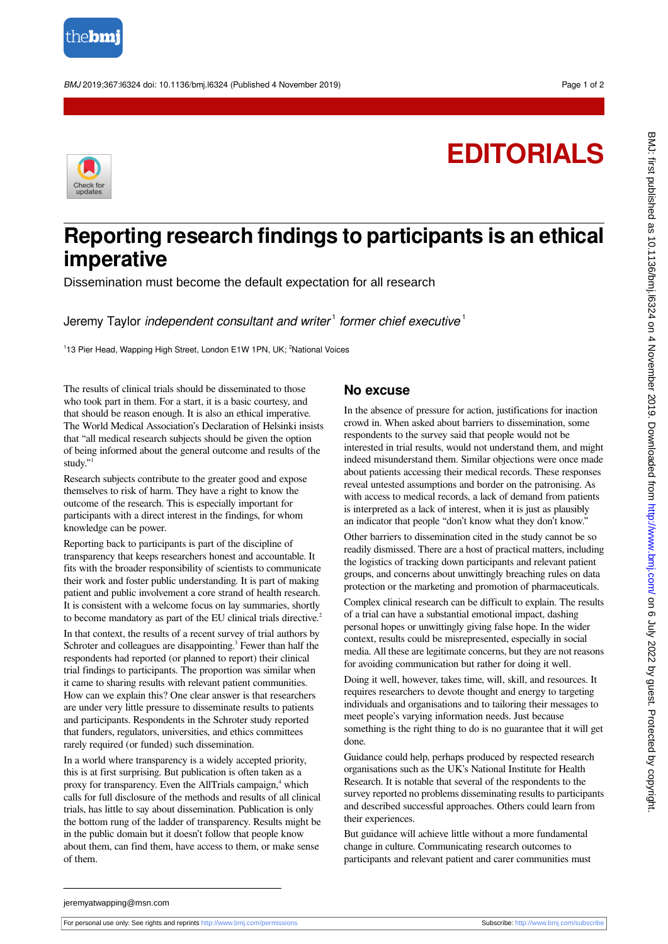

BMJ 2019;367:l6324 doi: 10.1136/bmj.l6324 (Published 4 November 2019) Page 1 of 2

## **EDITORIALS**



## **Reporting research findings to participants is an ethical imperative**

Dissemination must become the default expectation for all research

Jeremy Taylor independent consultant and writer $1$  former chief executive $1$ 

<sup>1</sup>13 Pier Head, Wapping High Street, London E1W 1PN, UK; <sup>2</sup>National Voices

The results of clinical trials should be disseminated to those who took part in them. For a start, it is a basic courtesy, and that should be reason enough. It is also an ethical imperative. The World Medical Association's Declaration of Helsinki insists that "all medical research subjects should be given the option of being informed about the general outcome and results of the study." 1

Research subjects contribute to the greater good and expose themselves to risk of harm. They have a right to know the outcome of the research. This is especially important for participants with a direct interest in the findings, for whom knowledge can be power.

Reporting back to participants is part of the discipline of transparency that keeps researchers honest and accountable. It fits with the broader responsibility of scientists to communicate their work and foster public understanding. It is part of making patient and public involvement a core strand of health research. It is consistent with a welcome focus on lay summaries, shortly to become mandatory as part of the EU clinical trials directive.<sup>2</sup>

In that context, the results of a recent survey of trial authors by Schroter and colleagues are disappointing.<sup>3</sup> Fewer than half the respondents had reported (or planned to report) their clinical trial findings to participants. The proportion was similar when it came to sharing results with relevant patient communities. How can we explain this? One clear answer is that researchers are under very little pressure to disseminate results to patients and participants. Respondents in the Schroter study reported that funders, regulators, universities, and ethics committees rarely required (or funded) such dissemination.

In a world where transparency is a widely accepted priority, this is at first surprising. But publication is often taken as a proxy for transparency. Even the AllTrials campaign,<sup>4</sup> which calls for full disclosure of the methods and results of all clinical trials, has little to say about dissemination. Publication is only the bottom rung of the ladder of transparency. Results might be in the public domain but it doesn't follow that people know about them, can find them, have access to them, or make sense of them.

## **No excuse**

In the absence of pressure for action, justifications for inaction crowd in. When asked about barriers to dissemination, some respondents to the survey said that people would not be interested in trial results, would not understand them, and might indeed misunderstand them. Similar objections were once made about patients accessing their medical records. These responses reveal untested assumptions and border on the patronising. As with access to medical records, a lack of demand from patients is interpreted as a lack of interest, when it is just as plausibly an indicator that people "don't know what they don't know."

Other barriers to dissemination cited in the study cannot be so readily dismissed. There are a host of practical matters, including the logistics of tracking down participants and relevant patient groups, and concerns about unwittingly breaching rules on data protection or the marketing and promotion of pharmaceuticals.

Complex clinical research can be difficult to explain. The results of a trial can have a substantial emotional impact, dashing personal hopes or unwittingly giving false hope. In the wider context, results could be misrepresented, especially in social media. All these are legitimate concerns, but they are not reasons for avoiding communication but rather for doing it well.

Doing it well, however, takes time, will, skill, and resources. It requires researchers to devote thought and energy to targeting individuals and organisations and to tailoring their messages to meet people's varying information needs. Just because something is the right thing to do is no guarantee that it will get done.

Guidance could help, perhaps produced by respected research organisations such as the UK's National Institute for Health Research. It is notable that several of the respondents to the survey reported no problems disseminating results to participants and described successful approaches. Others could learn from their experiences.

But guidance will achieve little without a more fundamental change in culture. Communicating research outcomes to participants and relevant patient and carer communities must

jeremyatwapping@msn.com